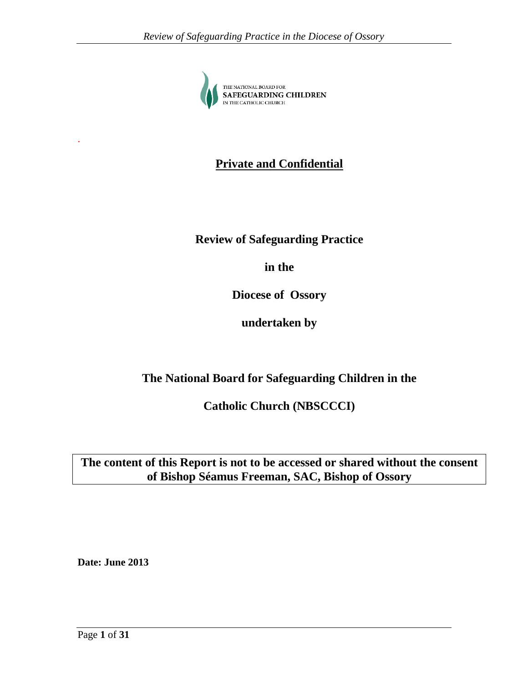

# **Private and Confidential**

# **Review of Safeguarding Practice**

**in the** 

**Diocese of Ossory**

**undertaken by**

# **The National Board for Safeguarding Children in the**

**Catholic Church (NBSCCCI)**

**The content of this Report is not to be accessed or shared without the consent of Bishop Séamus Freeman, SAC, Bishop of Ossory**

**Date: June 2013**

.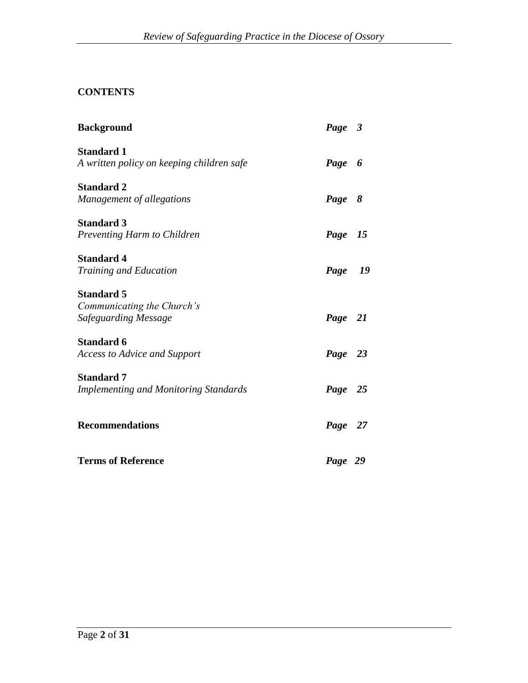# **CONTENTS**

| <b>Background</b>                                                       | Page 3  |  |
|-------------------------------------------------------------------------|---------|--|
| <b>Standard 1</b><br>A written policy on keeping children safe          | Page 6  |  |
| <b>Standard 2</b><br>Management of allegations                          | Page 8  |  |
| <b>Standard 3</b><br>Preventing Harm to Children                        | Page 15 |  |
| <b>Standard 4</b><br>Training and Education                             | Page 19 |  |
| <b>Standard 5</b><br>Communicating the Church's<br>Safeguarding Message | Page 21 |  |
| <b>Standard 6</b><br><b>Access to Advice and Support</b>                | Page 23 |  |
| <b>Standard 7</b><br><b>Implementing and Monitoring Standards</b>       | Page 25 |  |
| <b>Recommendations</b>                                                  | Page 27 |  |
| <b>Terms of Reference</b>                                               | Page 29 |  |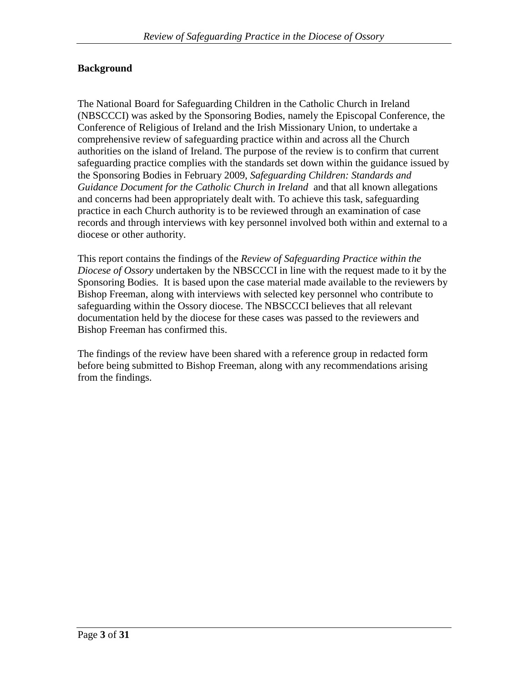### **Background**

The National Board for Safeguarding Children in the Catholic Church in Ireland (NBSCCCI) was asked by the Sponsoring Bodies, namely the Episcopal Conference, the Conference of Religious of Ireland and the Irish Missionary Union, to undertake a comprehensive review of safeguarding practice within and across all the Church authorities on the island of Ireland. The purpose of the review is to confirm that current safeguarding practice complies with the standards set down within the guidance issued by the Sponsoring Bodies in February 2009, *Safeguarding Children: Standards and Guidance Document for the Catholic Church in Ireland* and that all known allegations and concerns had been appropriately dealt with. To achieve this task, safeguarding practice in each Church authority is to be reviewed through an examination of case records and through interviews with key personnel involved both within and external to a diocese or other authority.

This report contains the findings of the *Review of Safeguarding Practice within the Diocese of Ossory* undertaken by the NBSCCCI in line with the request made to it by the Sponsoring Bodies. It is based upon the case material made available to the reviewers by Bishop Freeman, along with interviews with selected key personnel who contribute to safeguarding within the Ossory diocese. The NBSCCCI believes that all relevant documentation held by the diocese for these cases was passed to the reviewers and Bishop Freeman has confirmed this.

The findings of the review have been shared with a reference group in redacted form before being submitted to Bishop Freeman, along with any recommendations arising from the findings.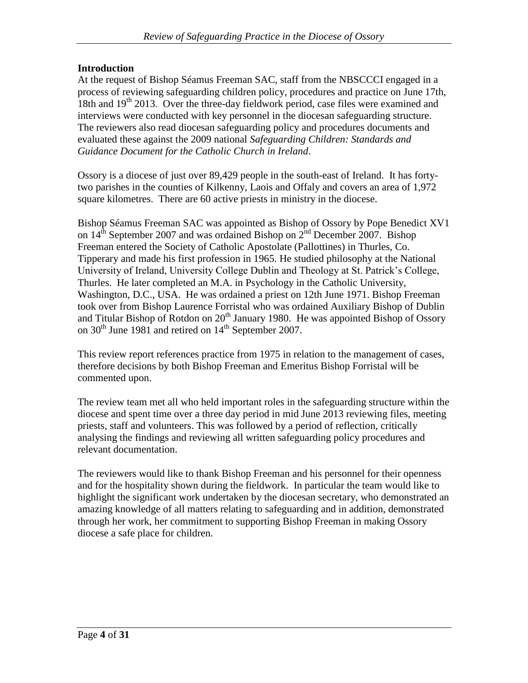### **Introduction**

At the request of Bishop Séamus Freeman SAC, staff from the NBSCCCI engaged in a process of reviewing safeguarding children policy, procedures and practice on June 17th, 18th and  $19<sup>th</sup>$  2013. Over the three-day fieldwork period, case files were examined and interviews were conducted with key personnel in the diocesan safeguarding structure. The reviewers also read diocesan safeguarding policy and procedures documents and evaluated these against the 2009 national *Safeguarding Children: Standards and Guidance Document for the Catholic Church in Ireland*.

Ossory is a diocese of just over 89,429 people in the south-east of Ireland. It has fortytwo parishes in the counties of Kilkenny, Laois and Offaly and covers an area of 1,972 square kilometres. There are 60 active priests in ministry in the diocese.

Bishop Séamus Freeman SAC was appointed as Bishop of Ossory by Pope Benedict XV1 on  $14^{\text{th}}$  September 2007 and was ordained Bishop on  $2^{\text{nd}}$  December 2007. Bishop Freeman entered the Society of Catholic Apostolate (Pallottines) in Thurles, Co. Tipperary and made his first profession in 1965. He studied philosophy at the National University of Ireland, University College Dublin and Theology at St. Patrick's College, Thurles. He later completed an M.A. in Psychology in the Catholic University, Washington, D.C., USA. He was ordained a priest on 12th June 1971. Bishop Freeman took over from Bishop Laurence Forristal who was ordained Auxiliary Bishop of Dublin and Titular Bishop of Rotdon on  $20<sup>th</sup>$  January 1980. He was appointed Bishop of Ossory on  $30<sup>th</sup>$  June 1981 and retired on  $14<sup>th</sup>$  September 2007.

This review report references practice from 1975 in relation to the management of cases, therefore decisions by both Bishop Freeman and Emeritus Bishop Forristal will be commented upon.

The review team met all who held important roles in the safeguarding structure within the diocese and spent time over a three day period in mid June 2013 reviewing files, meeting priests, staff and volunteers. This was followed by a period of reflection, critically analysing the findings and reviewing all written safeguarding policy procedures and relevant documentation.

The reviewers would like to thank Bishop Freeman and his personnel for their openness and for the hospitality shown during the fieldwork. In particular the team would like to highlight the significant work undertaken by the diocesan secretary, who demonstrated an amazing knowledge of all matters relating to safeguarding and in addition, demonstrated through her work, her commitment to supporting Bishop Freeman in making Ossory diocese a safe place for children.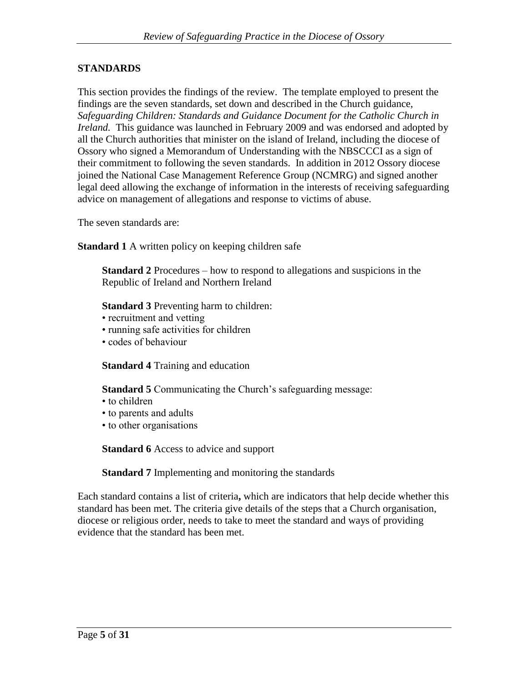### **STANDARDS**

This section provides the findings of the review. The template employed to present the findings are the seven standards, set down and described in the Church guidance, *Safeguarding Children: Standards and Guidance Document for the Catholic Church in Ireland.* This guidance was launched in February 2009 and was endorsed and adopted by all the Church authorities that minister on the island of Ireland, including the diocese of Ossory who signed a Memorandum of Understanding with the NBSCCCI as a sign of their commitment to following the seven standards. In addition in 2012 Ossory diocese joined the National Case Management Reference Group (NCMRG) and signed another legal deed allowing the exchange of information in the interests of receiving safeguarding advice on management of allegations and response to victims of abuse.

The seven standards are:

**Standard 1** A written policy on keeping children safe

**Standard 2** Procedures – how to respond to allegations and suspicions in the Republic of Ireland and Northern Ireland

**Standard 3** Preventing harm to children:

- recruitment and vetting
- running safe activities for children
- codes of behaviour

**Standard 4** Training and education

**Standard 5** Communicating the Church's safeguarding message:

- to children
- to parents and adults
- to other organisations

**Standard 6** Access to advice and support

**Standard 7** Implementing and monitoring the standards

Each standard contains a list of criteria**,** which are indicators that help decide whether this standard has been met. The criteria give details of the steps that a Church organisation, diocese or religious order, needs to take to meet the standard and ways of providing evidence that the standard has been met.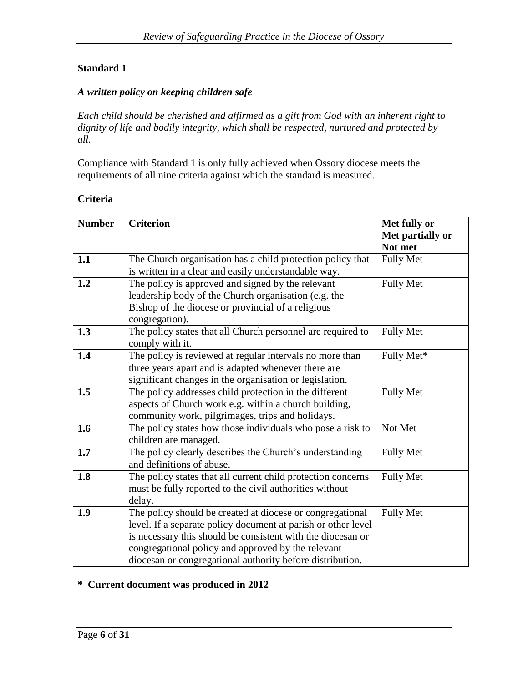# **Standard 1**

### *A written policy on keeping children safe*

*Each child should be cherished and affirmed as a gift from God with an inherent right to dignity of life and bodily integrity, which shall be respected, nurtured and protected by all.*

Compliance with Standard 1 is only fully achieved when Ossory diocese meets the requirements of all nine criteria against which the standard is measured.

#### **Criteria**

| <b>Number</b> | <b>Criterion</b>                                                                                                                                                                                                                                                                                             | Met fully or                |
|---------------|--------------------------------------------------------------------------------------------------------------------------------------------------------------------------------------------------------------------------------------------------------------------------------------------------------------|-----------------------------|
|               |                                                                                                                                                                                                                                                                                                              | Met partially or<br>Not met |
| 1.1           | The Church organisation has a child protection policy that<br>is written in a clear and easily understandable way.                                                                                                                                                                                           | <b>Fully Met</b>            |
| 1.2           | The policy is approved and signed by the relevant<br>leadership body of the Church organisation (e.g. the<br>Bishop of the diocese or provincial of a religious<br>congregation).                                                                                                                            | <b>Fully Met</b>            |
| 1.3           | The policy states that all Church personnel are required to<br>comply with it.                                                                                                                                                                                                                               | <b>Fully Met</b>            |
| 1.4           | The policy is reviewed at regular intervals no more than<br>three years apart and is adapted whenever there are<br>significant changes in the organisation or legislation.                                                                                                                                   | Fully Met*                  |
| 1.5           | The policy addresses child protection in the different<br>aspects of Church work e.g. within a church building,<br>community work, pilgrimages, trips and holidays.                                                                                                                                          | <b>Fully Met</b>            |
| 1.6           | The policy states how those individuals who pose a risk to<br>children are managed.                                                                                                                                                                                                                          | Not Met                     |
| 1.7           | The policy clearly describes the Church's understanding<br>and definitions of abuse.                                                                                                                                                                                                                         | <b>Fully Met</b>            |
| 1.8           | The policy states that all current child protection concerns<br>must be fully reported to the civil authorities without<br>delay.                                                                                                                                                                            | <b>Fully Met</b>            |
| 1.9           | The policy should be created at diocese or congregational<br>level. If a separate policy document at parish or other level<br>is necessary this should be consistent with the diocesan or<br>congregational policy and approved by the relevant<br>diocesan or congregational authority before distribution. | <b>Fully Met</b>            |

### **\* Current document was produced in 2012**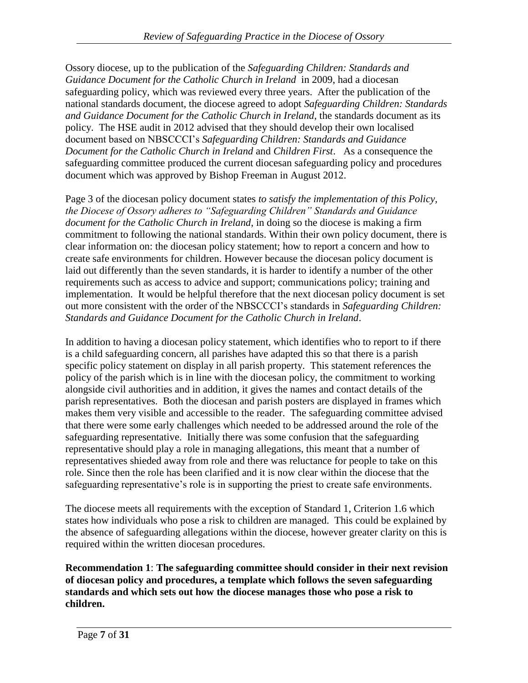Ossory diocese, up to the publication of the *Safeguarding Children: Standards and Guidance Document for the Catholic Church in Ireland* in 2009, had a diocesan safeguarding policy, which was reviewed every three years. After the publication of the national standards document, the diocese agreed to adopt *Safeguarding Children: Standards and Guidance Document for the Catholic Church in Ireland*, the standards document as its policy. The HSE audit in 2012 advised that they should develop their own localised document based on NBSCCCI's *Safeguarding Children: Standards and Guidance Document for the Catholic Church in Ireland* and *Children First*. As a consequence the safeguarding committee produced the current diocesan safeguarding policy and procedures document which was approved by Bishop Freeman in August 2012.

Page 3 of the diocesan policy document states *to satisfy the implementation of this Policy, the Diocese of Ossory adheres to "Safeguarding Children" Standards and Guidance document for the Catholic Church in Ireland*, in doing so the diocese is making a firm commitment to following the national standards. Within their own policy document, there is clear information on: the diocesan policy statement; how to report a concern and how to create safe environments for children. However because the diocesan policy document is laid out differently than the seven standards, it is harder to identify a number of the other requirements such as access to advice and support; communications policy; training and implementation. It would be helpful therefore that the next diocesan policy document is set out more consistent with the order of the NBSCCCI's standards in *Safeguarding Children: Standards and Guidance Document for the Catholic Church in Ireland*.

In addition to having a diocesan policy statement, which identifies who to report to if there is a child safeguarding concern, all parishes have adapted this so that there is a parish specific policy statement on display in all parish property. This statement references the policy of the parish which is in line with the diocesan policy, the commitment to working alongside civil authorities and in addition, it gives the names and contact details of the parish representatives. Both the diocesan and parish posters are displayed in frames which makes them very visible and accessible to the reader. The safeguarding committee advised that there were some early challenges which needed to be addressed around the role of the safeguarding representative. Initially there was some confusion that the safeguarding representative should play a role in managing allegations, this meant that a number of representatives shieded away from role and there was reluctance for people to take on this role. Since then the role has been clarified and it is now clear within the diocese that the safeguarding representative's role is in supporting the priest to create safe environments.

The diocese meets all requirements with the exception of Standard 1, Criterion 1.6 which states how individuals who pose a risk to children are managed. This could be explained by the absence of safeguarding allegations within the diocese, however greater clarity on this is required within the written diocesan procedures.

**Recommendation 1**: **The safeguarding committee should consider in their next revision of diocesan policy and procedures, a template which follows the seven safeguarding standards and which sets out how the diocese manages those who pose a risk to children.**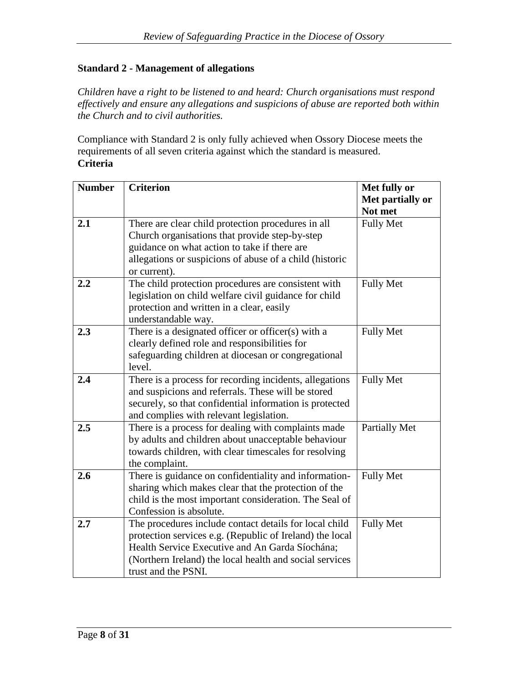# **Standard 2 - Management of allegations**

*Children have a right to be listened to and heard: Church organisations must respond effectively and ensure any allegations and suspicions of abuse are reported both within the Church and to civil authorities.*

Compliance with Standard 2 is only fully achieved when Ossory Diocese meets the requirements of all seven criteria against which the standard is measured. **Criteria**

| <b>Number</b> | <b>Criterion</b>                                         | Met fully or         |
|---------------|----------------------------------------------------------|----------------------|
|               |                                                          | Met partially or     |
|               |                                                          | Not met              |
| 2.1           | There are clear child protection procedures in all       | <b>Fully Met</b>     |
|               | Church organisations that provide step-by-step           |                      |
|               | guidance on what action to take if there are             |                      |
|               | allegations or suspicions of abuse of a child (historic  |                      |
|               | or current).                                             |                      |
| 2.2           | The child protection procedures are consistent with      | <b>Fully Met</b>     |
|               | legislation on child welfare civil guidance for child    |                      |
|               | protection and written in a clear, easily                |                      |
|               | understandable way.                                      |                      |
| 2.3           | There is a designated officer or officer(s) with a       | <b>Fully Met</b>     |
|               | clearly defined role and responsibilities for            |                      |
|               | safeguarding children at diocesan or congregational      |                      |
|               | level.                                                   |                      |
| 2.4           | There is a process for recording incidents, allegations  | <b>Fully Met</b>     |
|               | and suspicions and referrals. These will be stored       |                      |
|               | securely, so that confidential information is protected  |                      |
|               | and complies with relevant legislation.                  |                      |
| 2.5           | There is a process for dealing with complaints made      | <b>Partially Met</b> |
|               | by adults and children about unacceptable behaviour      |                      |
|               | towards children, with clear timescales for resolving    |                      |
|               | the complaint.                                           |                      |
| 2.6           | There is guidance on confidentiality and information-    | <b>Fully Met</b>     |
|               | sharing which makes clear that the protection of the     |                      |
|               | child is the most important consideration. The Seal of   |                      |
|               | Confession is absolute.                                  |                      |
| 2.7           | The procedures include contact details for local child   | <b>Fully Met</b>     |
|               | protection services e.g. (Republic of Ireland) the local |                      |
|               | Health Service Executive and An Garda Síochána;          |                      |
|               | (Northern Ireland) the local health and social services  |                      |
|               | trust and the PSNI.                                      |                      |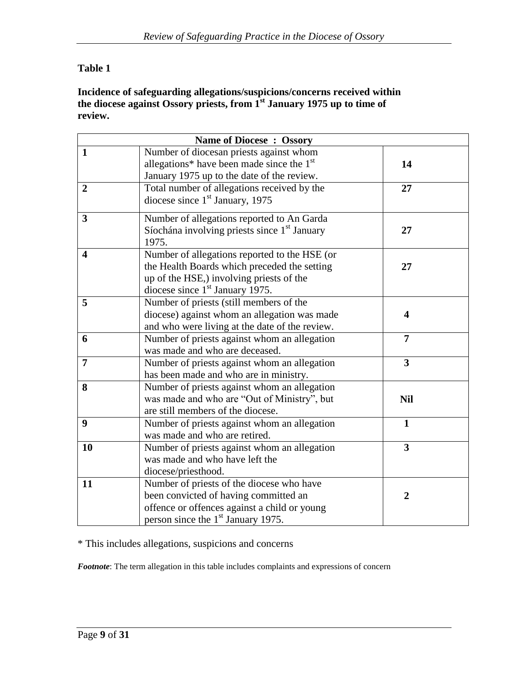# **Table 1**

### **Incidence of safeguarding allegations/suspicions/concerns received within the diocese against Ossory priests, from 1st January 1975 up to time of review.**

|                         | <b>Name of Diocese: Ossory</b>                                                                                                                                                           |                         |  |
|-------------------------|------------------------------------------------------------------------------------------------------------------------------------------------------------------------------------------|-------------------------|--|
| $\mathbf{1}$            | Number of diocesan priests against whom<br>allegations* have been made since the $1st$<br>January 1975 up to the date of the review.                                                     | 14                      |  |
| $\overline{2}$          | Total number of allegations received by the<br>diocese since $1st$ January, 1975                                                                                                         | 27                      |  |
| $\overline{\mathbf{3}}$ | Number of allegations reported to An Garda<br>Síochána involving priests since 1 <sup>st</sup> January<br>1975.                                                                          | 27                      |  |
| $\overline{\mathbf{4}}$ | Number of allegations reported to the HSE (or<br>the Health Boards which preceded the setting<br>up of the HSE,) involving priests of the<br>diocese since 1 <sup>st</sup> January 1975. | 27                      |  |
| 5                       | Number of priests (still members of the<br>diocese) against whom an allegation was made<br>and who were living at the date of the review.                                                | $\overline{\mathbf{4}}$ |  |
| 6                       | Number of priests against whom an allegation<br>was made and who are deceased.                                                                                                           | $\overline{7}$          |  |
| $\overline{7}$          | Number of priests against whom an allegation<br>has been made and who are in ministry.                                                                                                   | $\overline{\mathbf{3}}$ |  |
| 8                       | Number of priests against whom an allegation<br>was made and who are "Out of Ministry", but<br>are still members of the diocese.                                                         | <b>Nil</b>              |  |
| 9                       | Number of priests against whom an allegation<br>was made and who are retired.                                                                                                            | $\mathbf{1}$            |  |
| 10                      | Number of priests against whom an allegation<br>was made and who have left the<br>diocese/priesthood.                                                                                    | $\overline{\mathbf{3}}$ |  |
| 11                      | Number of priests of the diocese who have<br>been convicted of having committed an<br>offence or offences against a child or young<br>person since the 1 <sup>st</sup> January 1975.     | $\overline{2}$          |  |

\* This includes allegations, suspicions and concerns

*Footnote*: The term allegation in this table includes complaints and expressions of concern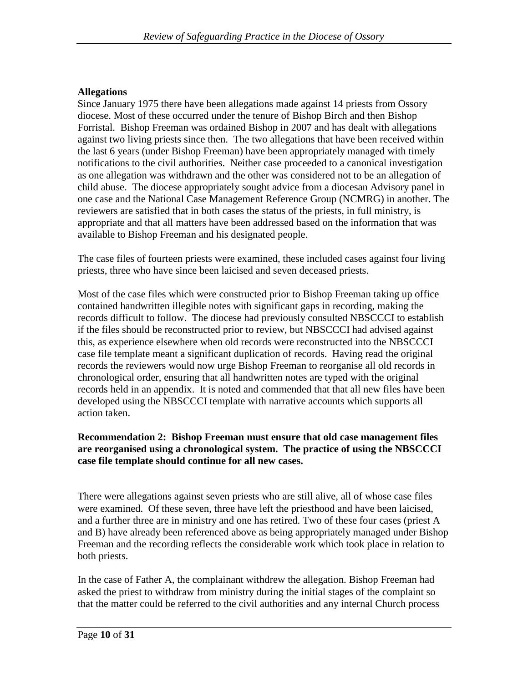### **Allegations**

Since January 1975 there have been allegations made against 14 priests from Ossory diocese. Most of these occurred under the tenure of Bishop Birch and then Bishop Forristal. Bishop Freeman was ordained Bishop in 2007 and has dealt with allegations against two living priests since then. The two allegations that have been received within the last 6 years (under Bishop Freeman) have been appropriately managed with timely notifications to the civil authorities. Neither case proceeded to a canonical investigation as one allegation was withdrawn and the other was considered not to be an allegation of child abuse. The diocese appropriately sought advice from a diocesan Advisory panel in one case and the National Case Management Reference Group (NCMRG) in another. The reviewers are satisfied that in both cases the status of the priests, in full ministry, is appropriate and that all matters have been addressed based on the information that was available to Bishop Freeman and his designated people.

The case files of fourteen priests were examined, these included cases against four living priests, three who have since been laicised and seven deceased priests.

Most of the case files which were constructed prior to Bishop Freeman taking up office contained handwritten illegible notes with significant gaps in recording, making the records difficult to follow. The diocese had previously consulted NBSCCCI to establish if the files should be reconstructed prior to review, but NBSCCCI had advised against this, as experience elsewhere when old records were reconstructed into the NBSCCCI case file template meant a significant duplication of records. Having read the original records the reviewers would now urge Bishop Freeman to reorganise all old records in chronological order, ensuring that all handwritten notes are typed with the original records held in an appendix. It is noted and commended that that all new files have been developed using the NBSCCCI template with narrative accounts which supports all action taken.

#### **Recommendation 2: Bishop Freeman must ensure that old case management files are reorganised using a chronological system. The practice of using the NBSCCCI case file template should continue for all new cases.**

There were allegations against seven priests who are still alive, all of whose case files were examined. Of these seven, three have left the priesthood and have been laicised, and a further three are in ministry and one has retired. Two of these four cases (priest A and B) have already been referenced above as being appropriately managed under Bishop Freeman and the recording reflects the considerable work which took place in relation to both priests.

In the case of Father A, the complainant withdrew the allegation. Bishop Freeman had asked the priest to withdraw from ministry during the initial stages of the complaint so that the matter could be referred to the civil authorities and any internal Church process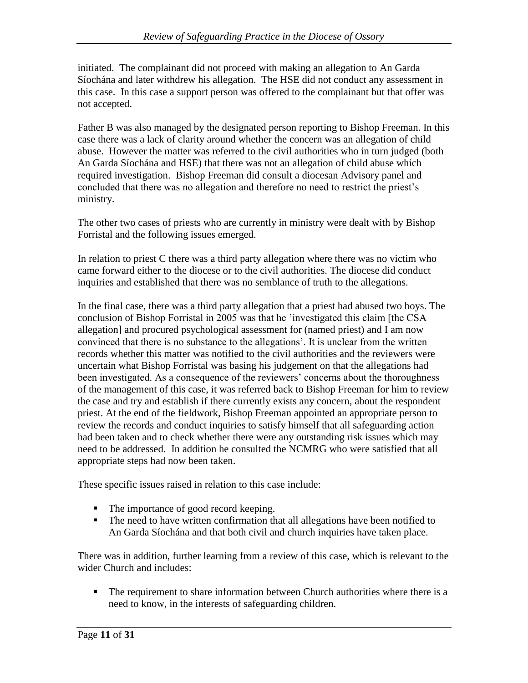initiated. The complainant did not proceed with making an allegation to An Garda Síochána and later withdrew his allegation. The HSE did not conduct any assessment in this case. In this case a support person was offered to the complainant but that offer was not accepted.

Father B was also managed by the designated person reporting to Bishop Freeman. In this case there was a lack of clarity around whether the concern was an allegation of child abuse. However the matter was referred to the civil authorities who in turn judged (both An Garda Síochána and HSE) that there was not an allegation of child abuse which required investigation. Bishop Freeman did consult a diocesan Advisory panel and concluded that there was no allegation and therefore no need to restrict the priest's ministry.

The other two cases of priests who are currently in ministry were dealt with by Bishop Forristal and the following issues emerged.

In relation to priest C there was a third party allegation where there was no victim who came forward either to the diocese or to the civil authorities. The diocese did conduct inquiries and established that there was no semblance of truth to the allegations.

In the final case, there was a third party allegation that a priest had abused two boys. The conclusion of Bishop Forristal in 2005 was that he 'investigated this claim [the CSA allegation] and procured psychological assessment for (named priest) and I am now convinced that there is no substance to the allegations'. It is unclear from the written records whether this matter was notified to the civil authorities and the reviewers were uncertain what Bishop Forristal was basing his judgement on that the allegations had been investigated. As a consequence of the reviewers' concerns about the thoroughness of the management of this case, it was referred back to Bishop Freeman for him to review the case and try and establish if there currently exists any concern, about the respondent priest. At the end of the fieldwork, Bishop Freeman appointed an appropriate person to review the records and conduct inquiries to satisfy himself that all safeguarding action had been taken and to check whether there were any outstanding risk issues which may need to be addressed. In addition he consulted the NCMRG who were satisfied that all appropriate steps had now been taken.

These specific issues raised in relation to this case include:

- The importance of good record keeping.
- The need to have written confirmation that all allegations have been notified to An Garda Síochána and that both civil and church inquiries have taken place.

There was in addition, further learning from a review of this case, which is relevant to the wider Church and includes:

**The requirement to share information between Church authorities where there is a** need to know, in the interests of safeguarding children.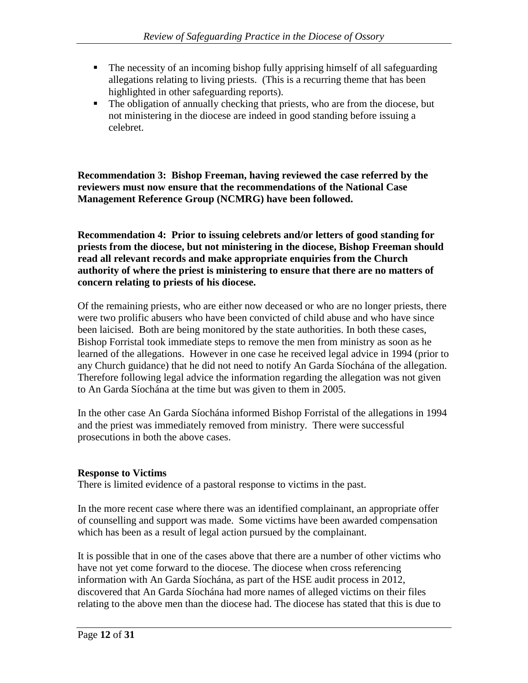- The necessity of an incoming bishop fully apprising himself of all safeguarding allegations relating to living priests. (This is a recurring theme that has been highlighted in other safeguarding reports).
- The obligation of annually checking that priests, who are from the diocese, but not ministering in the diocese are indeed in good standing before issuing a celebret.

### **Recommendation 3: Bishop Freeman, having reviewed the case referred by the reviewers must now ensure that the recommendations of the National Case Management Reference Group (NCMRG) have been followed.**

**Recommendation 4: Prior to issuing celebrets and/or letters of good standing for priests from the diocese, but not ministering in the diocese, Bishop Freeman should read all relevant records and make appropriate enquiries from the Church authority of where the priest is ministering to ensure that there are no matters of concern relating to priests of his diocese.** 

Of the remaining priests, who are either now deceased or who are no longer priests, there were two prolific abusers who have been convicted of child abuse and who have since been laicised. Both are being monitored by the state authorities. In both these cases, Bishop Forristal took immediate steps to remove the men from ministry as soon as he learned of the allegations. However in one case he received legal advice in 1994 (prior to any Church guidance) that he did not need to notify An Garda Síochána of the allegation. Therefore following legal advice the information regarding the allegation was not given to An Garda Síochána at the time but was given to them in 2005.

In the other case An Garda Síochána informed Bishop Forristal of the allegations in 1994 and the priest was immediately removed from ministry. There were successful prosecutions in both the above cases.

#### **Response to Victims**

There is limited evidence of a pastoral response to victims in the past.

In the more recent case where there was an identified complainant, an appropriate offer of counselling and support was made. Some victims have been awarded compensation which has been as a result of legal action pursued by the complainant.

It is possible that in one of the cases above that there are a number of other victims who have not yet come forward to the diocese. The diocese when cross referencing information with An Garda Síochána, as part of the HSE audit process in 2012, discovered that An Garda Síochána had more names of alleged victims on their files relating to the above men than the diocese had. The diocese has stated that this is due to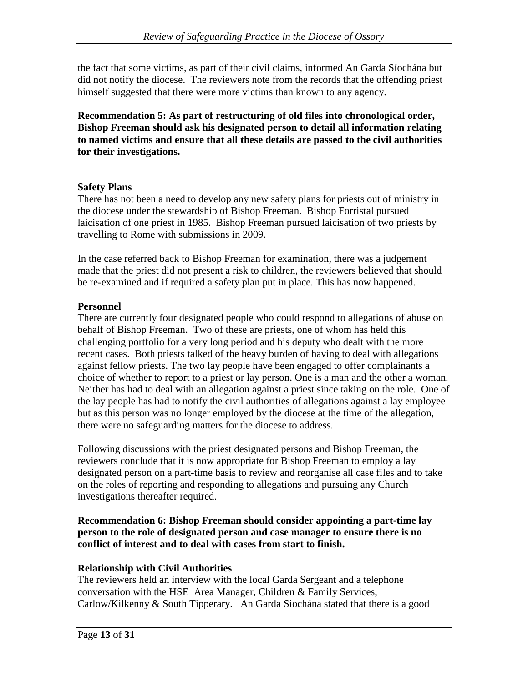the fact that some victims, as part of their civil claims, informed An Garda Síochána but did not notify the diocese. The reviewers note from the records that the offending priest himself suggested that there were more victims than known to any agency.

**Recommendation 5: As part of restructuring of old files into chronological order, Bishop Freeman should ask his designated person to detail all information relating to named victims and ensure that all these details are passed to the civil authorities for their investigations.**

### **Safety Plans**

There has not been a need to develop any new safety plans for priests out of ministry in the diocese under the stewardship of Bishop Freeman. Bishop Forristal pursued laicisation of one priest in 1985. Bishop Freeman pursued laicisation of two priests by travelling to Rome with submissions in 2009.

In the case referred back to Bishop Freeman for examination, there was a judgement made that the priest did not present a risk to children, the reviewers believed that should be re-examined and if required a safety plan put in place. This has now happened.

# **Personnel**

There are currently four designated people who could respond to allegations of abuse on behalf of Bishop Freeman. Two of these are priests, one of whom has held this challenging portfolio for a very long period and his deputy who dealt with the more recent cases. Both priests talked of the heavy burden of having to deal with allegations against fellow priests. The two lay people have been engaged to offer complainants a choice of whether to report to a priest or lay person. One is a man and the other a woman. Neither has had to deal with an allegation against a priest since taking on the role. One of the lay people has had to notify the civil authorities of allegations against a lay employee but as this person was no longer employed by the diocese at the time of the allegation, there were no safeguarding matters for the diocese to address.

Following discussions with the priest designated persons and Bishop Freeman, the reviewers conclude that it is now appropriate for Bishop Freeman to employ a lay designated person on a part-time basis to review and reorganise all case files and to take on the roles of reporting and responding to allegations and pursuing any Church investigations thereafter required.

**Recommendation 6: Bishop Freeman should consider appointing a part-time lay person to the role of designated person and case manager to ensure there is no conflict of interest and to deal with cases from start to finish.**

# **Relationship with Civil Authorities**

The reviewers held an interview with the local Garda Sergeant and a telephone conversation with the HSE Area Manager, Children & Family Services, Carlow/Kilkenny & South Tipperary. An Garda Siochána stated that there is a good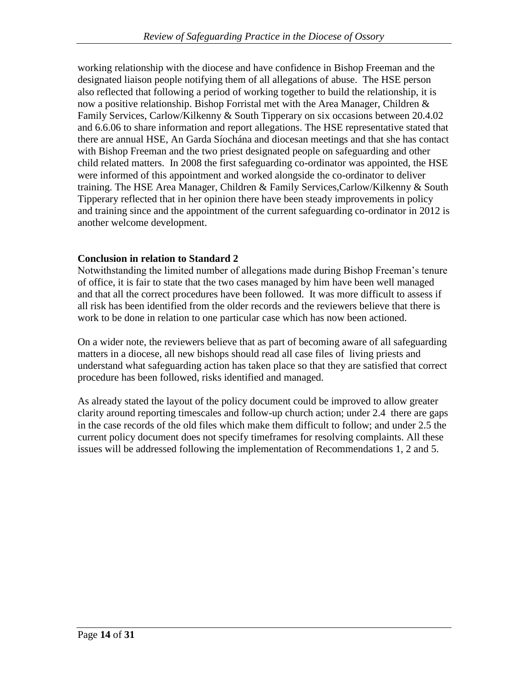working relationship with the diocese and have confidence in Bishop Freeman and the designated liaison people notifying them of all allegations of abuse. The HSE person also reflected that following a period of working together to build the relationship, it is now a positive relationship. Bishop Forristal met with the Area Manager, Children & Family Services, Carlow/Kilkenny & South Tipperary on six occasions between 20.4.02 and 6.6.06 to share information and report allegations. The HSE representative stated that there are annual HSE, An Garda Síochána and diocesan meetings and that she has contact with Bishop Freeman and the two priest designated people on safeguarding and other child related matters. In 2008 the first safeguarding co-ordinator was appointed, the HSE were informed of this appointment and worked alongside the co-ordinator to deliver training. The HSE Area Manager, Children & Family Services,Carlow/Kilkenny & South Tipperary reflected that in her opinion there have been steady improvements in policy and training since and the appointment of the current safeguarding co-ordinator in 2012 is another welcome development.

# **Conclusion in relation to Standard 2**

Notwithstanding the limited number of allegations made during Bishop Freeman's tenure of office, it is fair to state that the two cases managed by him have been well managed and that all the correct procedures have been followed. It was more difficult to assess if all risk has been identified from the older records and the reviewers believe that there is work to be done in relation to one particular case which has now been actioned.

On a wider note, the reviewers believe that as part of becoming aware of all safeguarding matters in a diocese, all new bishops should read all case files of living priests and understand what safeguarding action has taken place so that they are satisfied that correct procedure has been followed, risks identified and managed.

As already stated the layout of the policy document could be improved to allow greater clarity around reporting timescales and follow-up church action; under 2.4 there are gaps in the case records of the old files which make them difficult to follow; and under 2.5 the current policy document does not specify timeframes for resolving complaints. All these issues will be addressed following the implementation of Recommendations 1, 2 and 5.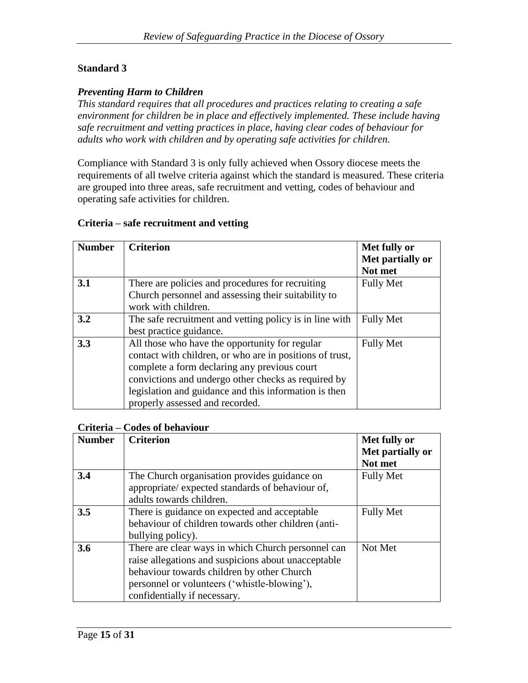# **Standard 3**

### *Preventing Harm to Children*

*This standard requires that all procedures and practices relating to creating a safe environment for children be in place and effectively implemented. These include having safe recruitment and vetting practices in place, having clear codes of behaviour for adults who work with children and by operating safe activities for children.*

Compliance with Standard 3 is only fully achieved when Ossory diocese meets the requirements of all twelve criteria against which the standard is measured. These criteria are grouped into three areas, safe recruitment and vetting, codes of behaviour and operating safe activities for children.

### **Criteria – safe recruitment and vetting**

| <b>Number</b> | <b>Criterion</b>                                                                                                                                                                                                                                                                                              | Met fully or<br>Met partially or<br>Not met |
|---------------|---------------------------------------------------------------------------------------------------------------------------------------------------------------------------------------------------------------------------------------------------------------------------------------------------------------|---------------------------------------------|
| 3.1           | There are policies and procedures for recruiting<br>Church personnel and assessing their suitability to<br>work with children.                                                                                                                                                                                | <b>Fully Met</b>                            |
| 3.2           | The safe recruitment and vetting policy is in line with<br>best practice guidance.                                                                                                                                                                                                                            | <b>Fully Met</b>                            |
| 3.3           | All those who have the opportunity for regular<br>contact with children, or who are in positions of trust,<br>complete a form declaring any previous court<br>convictions and undergo other checks as required by<br>legislation and guidance and this information is then<br>properly assessed and recorded. | <b>Fully Met</b>                            |

#### **Criteria – Codes of behaviour**

| <b>Number</b> | <b>Criterion</b>                                                                                                                                                                                                                        | Met fully or<br>Met partially or<br>Not met |
|---------------|-----------------------------------------------------------------------------------------------------------------------------------------------------------------------------------------------------------------------------------------|---------------------------------------------|
| 3.4           | The Church organisation provides guidance on<br>appropriate/ expected standards of behaviour of,<br>adults towards children.                                                                                                            | <b>Fully Met</b>                            |
| 3.5           | There is guidance on expected and acceptable<br>behaviour of children towards other children (anti-<br>bullying policy).                                                                                                                | <b>Fully Met</b>                            |
| 3.6           | There are clear ways in which Church personnel can<br>raise allegations and suspicions about unacceptable<br>behaviour towards children by other Church<br>personnel or volunteers ('whistle-blowing'),<br>confidentially if necessary. | Not Met                                     |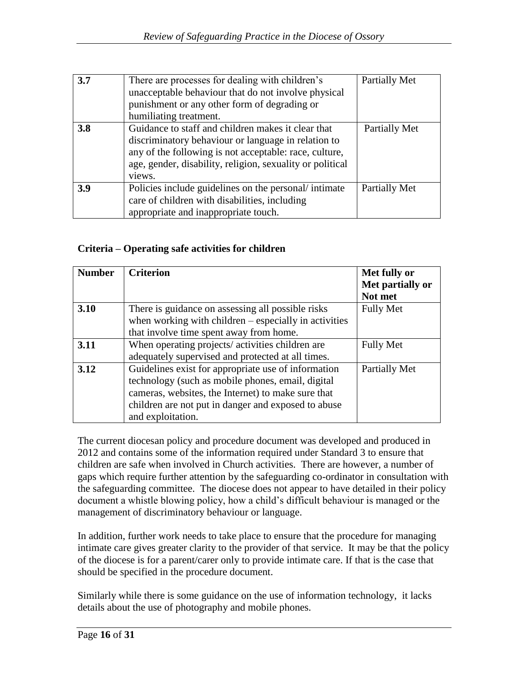| 3.7 | There are processes for dealing with children's<br>unacceptable behaviour that do not involve physical<br>punishment or any other form of degrading or<br>humiliating treatment.                                                           | Partially Met |
|-----|--------------------------------------------------------------------------------------------------------------------------------------------------------------------------------------------------------------------------------------------|---------------|
| 3.8 | Guidance to staff and children makes it clear that<br>discriminatory behaviour or language in relation to<br>any of the following is not acceptable: race, culture,<br>age, gender, disability, religion, sexuality or political<br>views. | Partially Met |
| 3.9 | Policies include guidelines on the personal/intimate<br>care of children with disabilities, including<br>appropriate and inappropriate touch.                                                                                              | Partially Met |

# **Criteria – Operating safe activities for children**

| <b>Number</b> | <b>Criterion</b>                                        | Met fully or     |
|---------------|---------------------------------------------------------|------------------|
|               |                                                         | Met partially or |
|               |                                                         | Not met          |
| 3.10          | There is guidance on assessing all possible risks       | <b>Fully Met</b> |
|               | when working with children $-$ especially in activities |                  |
|               | that involve time spent away from home.                 |                  |
| 3.11          | When operating projects/activities children are         | <b>Fully Met</b> |
|               | adequately supervised and protected at all times.       |                  |
| 3.12          | Guidelines exist for appropriate use of information     | Partially Met    |
|               | technology (such as mobile phones, email, digital       |                  |
|               | cameras, websites, the Internet) to make sure that      |                  |
|               | children are not put in danger and exposed to abuse     |                  |
|               | and exploitation.                                       |                  |

The current diocesan policy and procedure document was developed and produced in 2012 and contains some of the information required under Standard 3 to ensure that children are safe when involved in Church activities. There are however, a number of gaps which require further attention by the safeguarding co-ordinator in consultation with the safeguarding committee. The diocese does not appear to have detailed in their policy document a whistle blowing policy, how a child's difficult behaviour is managed or the management of discriminatory behaviour or language.

In addition, further work needs to take place to ensure that the procedure for managing intimate care gives greater clarity to the provider of that service. It may be that the policy of the diocese is for a parent/carer only to provide intimate care. If that is the case that should be specified in the procedure document.

Similarly while there is some guidance on the use of information technology, it lacks details about the use of photography and mobile phones.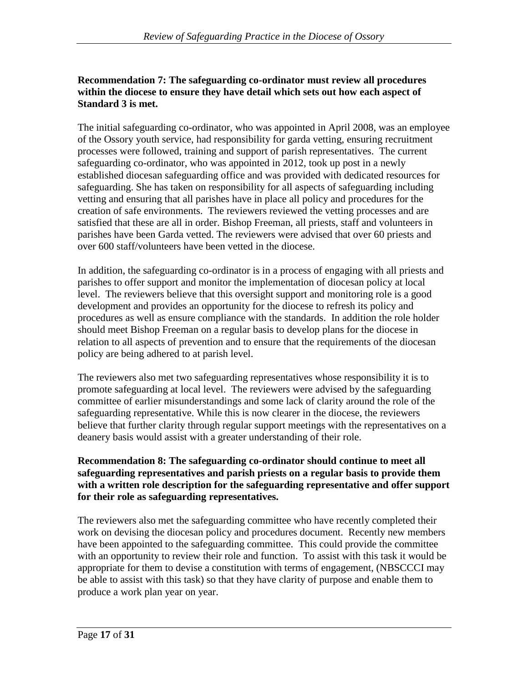### **Recommendation 7: The safeguarding co-ordinator must review all procedures within the diocese to ensure they have detail which sets out how each aspect of Standard 3 is met.**

The initial safeguarding co-ordinator, who was appointed in April 2008, was an employee of the Ossory youth service, had responsibility for garda vetting, ensuring recruitment processes were followed, training and support of parish representatives. The current safeguarding co-ordinator, who was appointed in 2012, took up post in a newly established diocesan safeguarding office and was provided with dedicated resources for safeguarding. She has taken on responsibility for all aspects of safeguarding including vetting and ensuring that all parishes have in place all policy and procedures for the creation of safe environments. The reviewers reviewed the vetting processes and are satisfied that these are all in order. Bishop Freeman, all priests, staff and volunteers in parishes have been Garda vetted. The reviewers were advised that over 60 priests and over 600 staff/volunteers have been vetted in the diocese.

In addition, the safeguarding co-ordinator is in a process of engaging with all priests and parishes to offer support and monitor the implementation of diocesan policy at local level. The reviewers believe that this oversight support and monitoring role is a good development and provides an opportunity for the diocese to refresh its policy and procedures as well as ensure compliance with the standards. In addition the role holder should meet Bishop Freeman on a regular basis to develop plans for the diocese in relation to all aspects of prevention and to ensure that the requirements of the diocesan policy are being adhered to at parish level.

The reviewers also met two safeguarding representatives whose responsibility it is to promote safeguarding at local level. The reviewers were advised by the safeguarding committee of earlier misunderstandings and some lack of clarity around the role of the safeguarding representative. While this is now clearer in the diocese, the reviewers believe that further clarity through regular support meetings with the representatives on a deanery basis would assist with a greater understanding of their role.

### **Recommendation 8: The safeguarding co-ordinator should continue to meet all safeguarding representatives and parish priests on a regular basis to provide them with a written role description for the safeguarding representative and offer support for their role as safeguarding representatives.**

The reviewers also met the safeguarding committee who have recently completed their work on devising the diocesan policy and procedures document. Recently new members have been appointed to the safeguarding committee. This could provide the committee with an opportunity to review their role and function. To assist with this task it would be appropriate for them to devise a constitution with terms of engagement, (NBSCCCI may be able to assist with this task) so that they have clarity of purpose and enable them to produce a work plan year on year.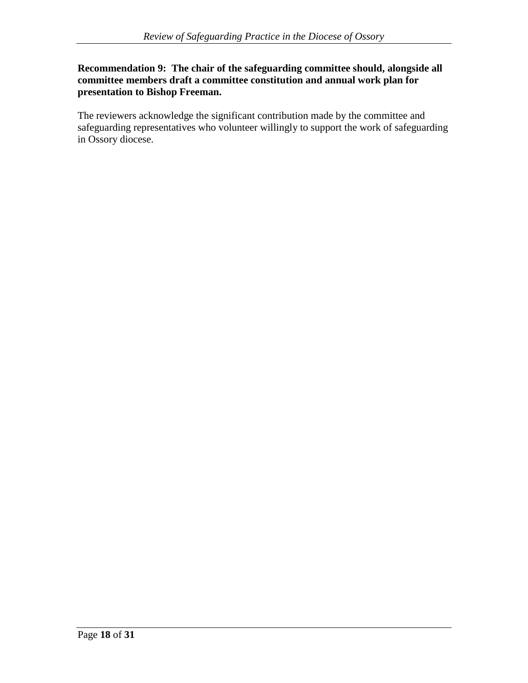### **Recommendation 9: The chair of the safeguarding committee should, alongside all committee members draft a committee constitution and annual work plan for presentation to Bishop Freeman.**

The reviewers acknowledge the significant contribution made by the committee and safeguarding representatives who volunteer willingly to support the work of safeguarding in Ossory diocese.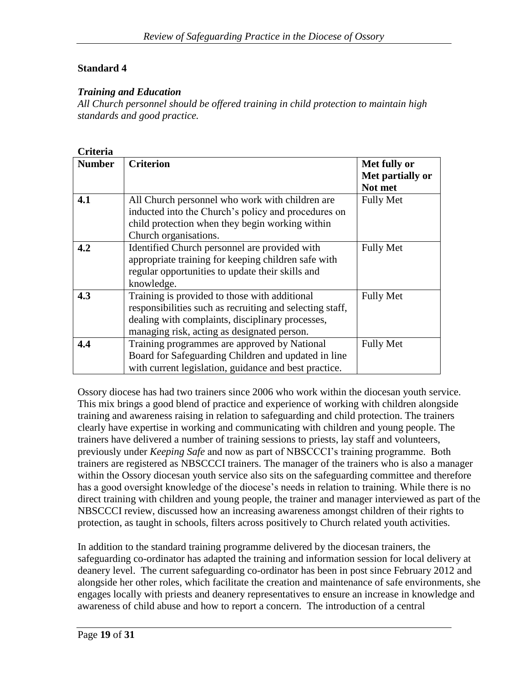### **Standard 4**

### *Training and Education*

*All Church personnel should be offered training in child protection to maintain high standards and good practice.*

### **Criteria**

| <b>Number</b> | <b>Criterion</b>                                         | Met fully or     |
|---------------|----------------------------------------------------------|------------------|
|               |                                                          | Met partially or |
|               |                                                          | Not met          |
| 4.1           | All Church personnel who work with children are          | <b>Fully Met</b> |
|               | inducted into the Church's policy and procedures on      |                  |
|               | child protection when they begin working within          |                  |
|               | Church organisations.                                    |                  |
| 4.2           | Identified Church personnel are provided with            | <b>Fully Met</b> |
|               | appropriate training for keeping children safe with      |                  |
|               | regular opportunities to update their skills and         |                  |
|               | knowledge.                                               |                  |
| 4.3           | Training is provided to those with additional            | <b>Fully Met</b> |
|               | responsibilities such as recruiting and selecting staff, |                  |
|               | dealing with complaints, disciplinary processes,         |                  |
|               | managing risk, acting as designated person.              |                  |
| 4.4           | Training programmes are approved by National             | <b>Fully Met</b> |
|               | Board for Safeguarding Children and updated in line      |                  |
|               | with current legislation, guidance and best practice.    |                  |

Ossory diocese has had two trainers since 2006 who work within the diocesan youth service. This mix brings a good blend of practice and experience of working with children alongside training and awareness raising in relation to safeguarding and child protection. The trainers clearly have expertise in working and communicating with children and young people. The trainers have delivered a number of training sessions to priests, lay staff and volunteers, previously under *Keeping Safe* and now as part of NBSCCCI's training programme. Both trainers are registered as NBSCCCI trainers. The manager of the trainers who is also a manager within the Ossory diocesan youth service also sits on the safeguarding committee and therefore has a good oversight knowledge of the diocese's needs in relation to training. While there is no direct training with children and young people, the trainer and manager interviewed as part of the NBSCCCI review, discussed how an increasing awareness amongst children of their rights to protection, as taught in schools, filters across positively to Church related youth activities.

In addition to the standard training programme delivered by the diocesan trainers, the safeguarding co-ordinator has adapted the training and information session for local delivery at deanery level. The current safeguarding co-ordinator has been in post since February 2012 and alongside her other roles, which facilitate the creation and maintenance of safe environments, she engages locally with priests and deanery representatives to ensure an increase in knowledge and awareness of child abuse and how to report a concern. The introduction of a central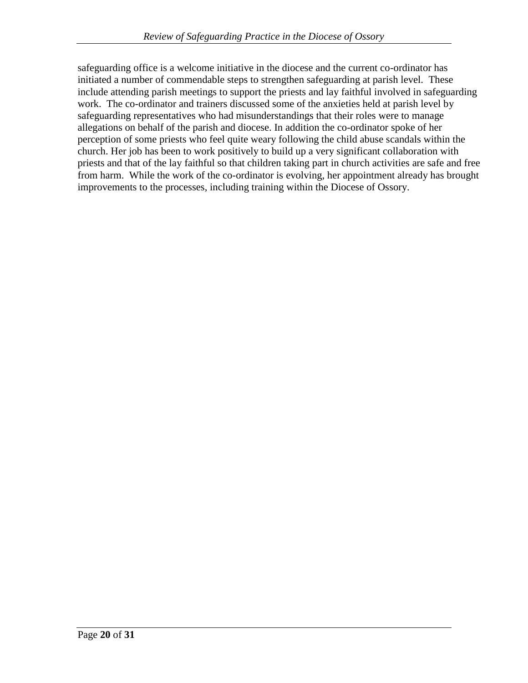safeguarding office is a welcome initiative in the diocese and the current co-ordinator has initiated a number of commendable steps to strengthen safeguarding at parish level. These include attending parish meetings to support the priests and lay faithful involved in safeguarding work. The co-ordinator and trainers discussed some of the anxieties held at parish level by safeguarding representatives who had misunderstandings that their roles were to manage allegations on behalf of the parish and diocese. In addition the co-ordinator spoke of her perception of some priests who feel quite weary following the child abuse scandals within the church. Her job has been to work positively to build up a very significant collaboration with priests and that of the lay faithful so that children taking part in church activities are safe and free from harm. While the work of the co-ordinator is evolving, her appointment already has brought improvements to the processes, including training within the Diocese of Ossory.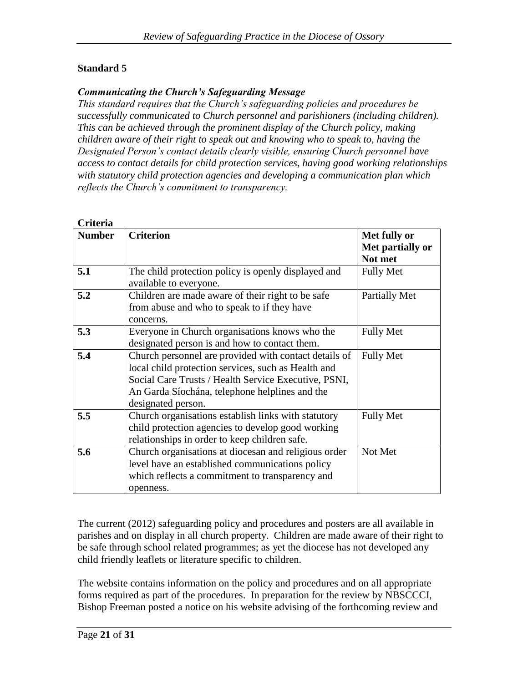# **Standard 5**

#### *Communicating the Church's Safeguarding Message*

*This standard requires that the Church's safeguarding policies and procedures be successfully communicated to Church personnel and parishioners (including children). This can be achieved through the prominent display of the Church policy, making children aware of their right to speak out and knowing who to speak to, having the Designated Person's contact details clearly visible, ensuring Church personnel have access to contact details for child protection services, having good working relationships with statutory child protection agencies and developing a communication plan which reflects the Church's commitment to transparency.*

| Criteria      |                                                                                                                                                                                                                                              |                                             |
|---------------|----------------------------------------------------------------------------------------------------------------------------------------------------------------------------------------------------------------------------------------------|---------------------------------------------|
| <b>Number</b> | <b>Criterion</b>                                                                                                                                                                                                                             | Met fully or<br>Met partially or<br>Not met |
| 5.1           | The child protection policy is openly displayed and<br>available to everyone.                                                                                                                                                                | <b>Fully Met</b>                            |
| 5.2           | Children are made aware of their right to be safe<br>from abuse and who to speak to if they have<br>concerns.                                                                                                                                | Partially Met                               |
| 5.3           | Everyone in Church organisations knows who the<br>designated person is and how to contact them.                                                                                                                                              | <b>Fully Met</b>                            |
| 5.4           | Church personnel are provided with contact details of<br>local child protection services, such as Health and<br>Social Care Trusts / Health Service Executive, PSNI,<br>An Garda Síochána, telephone helplines and the<br>designated person. | <b>Fully Met</b>                            |
| 5.5           | Church organisations establish links with statutory<br>child protection agencies to develop good working<br>relationships in order to keep children safe.                                                                                    | <b>Fully Met</b>                            |
| 5.6           | Church organisations at diocesan and religious order<br>level have an established communications policy<br>which reflects a commitment to transparency and<br>openness.                                                                      | Not Met                                     |

The current (2012) safeguarding policy and procedures and posters are all available in parishes and on display in all church property. Children are made aware of their right to be safe through school related programmes; as yet the diocese has not developed any child friendly leaflets or literature specific to children.

The website contains information on the policy and procedures and on all appropriate forms required as part of the procedures. In preparation for the review by NBSCCCI, Bishop Freeman posted a notice on his website advising of the forthcoming review and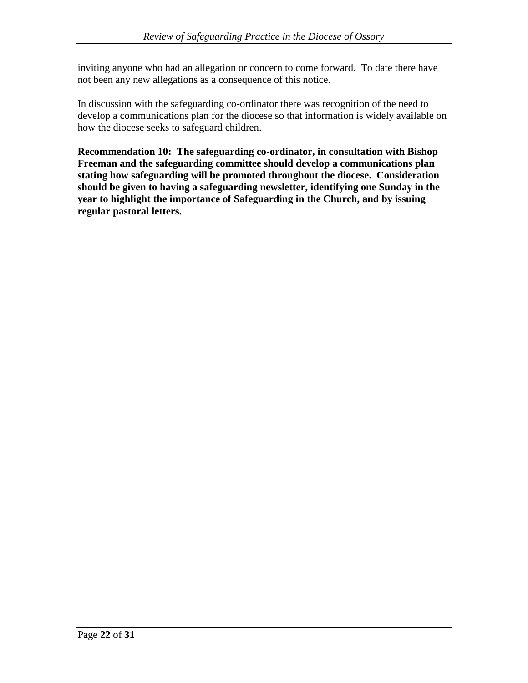inviting anyone who had an allegation or concern to come forward. To date there have not been any new allegations as a consequence of this notice.

In discussion with the safeguarding co-ordinator there was recognition of the need to develop a communications plan for the diocese so that information is widely available on how the diocese seeks to safeguard children.

**Recommendation 10: The safeguarding co-ordinator, in consultation with Bishop Freeman and the safeguarding committee should develop a communications plan stating how safeguarding will be promoted throughout the diocese. Consideration should be given to having a safeguarding newsletter, identifying one Sunday in the year to highlight the importance of Safeguarding in the Church, and by issuing regular pastoral letters.**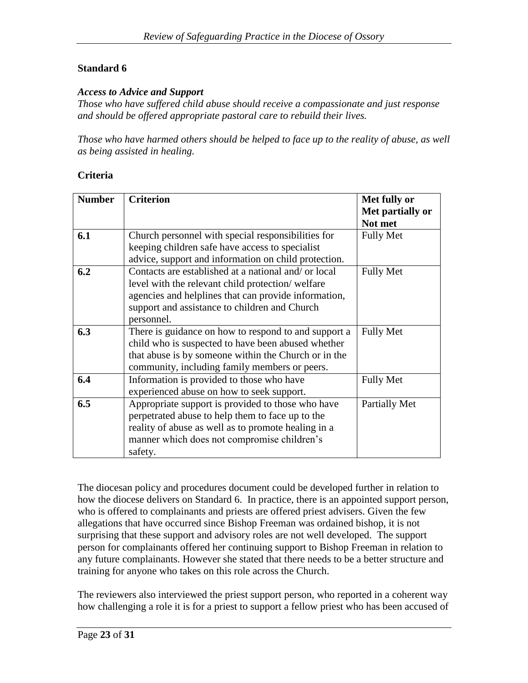# **Standard 6**

#### *Access to Advice and Support*

*Those who have suffered child abuse should receive a compassionate and just response and should be offered appropriate pastoral care to rebuild their lives.*

*Those who have harmed others should be helped to face up to the reality of abuse, as well as being assisted in healing.*

#### **Criteria**

| <b>Number</b> | <b>Criterion</b>                                     | Met fully or     |
|---------------|------------------------------------------------------|------------------|
|               |                                                      | Met partially or |
|               |                                                      | Not met          |
| 6.1           | Church personnel with special responsibilities for   | <b>Fully Met</b> |
|               | keeping children safe have access to specialist      |                  |
|               | advice, support and information on child protection. |                  |
| 6.2           | Contacts are established at a national and/ or local | <b>Fully Met</b> |
|               | level with the relevant child protection/welfare     |                  |
|               | agencies and helplines that can provide information, |                  |
|               | support and assistance to children and Church        |                  |
|               | personnel.                                           |                  |
| 6.3           | There is guidance on how to respond to and support a | <b>Fully Met</b> |
|               | child who is suspected to have been abused whether   |                  |
|               | that abuse is by someone within the Church or in the |                  |
|               | community, including family members or peers.        |                  |
| 6.4           | Information is provided to those who have            | <b>Fully Met</b> |
|               | experienced abuse on how to seek support.            |                  |
| 6.5           | Appropriate support is provided to those who have    | Partially Met    |
|               | perpetrated abuse to help them to face up to the     |                  |
|               | reality of abuse as well as to promote healing in a  |                  |
|               | manner which does not compromise children's          |                  |
|               | safety.                                              |                  |

The diocesan policy and procedures document could be developed further in relation to how the diocese delivers on Standard 6. In practice, there is an appointed support person, who is offered to complainants and priests are offered priest advisers. Given the few allegations that have occurred since Bishop Freeman was ordained bishop, it is not surprising that these support and advisory roles are not well developed. The support person for complainants offered her continuing support to Bishop Freeman in relation to any future complainants. However she stated that there needs to be a better structure and training for anyone who takes on this role across the Church.

The reviewers also interviewed the priest support person, who reported in a coherent way how challenging a role it is for a priest to support a fellow priest who has been accused of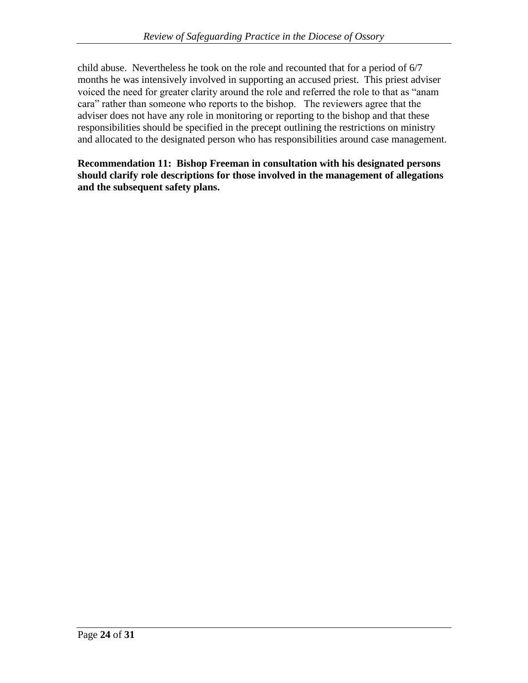child abuse. Nevertheless he took on the role and recounted that for a period of 6/7 months he was intensively involved in supporting an accused priest. This priest adviser voiced the need for greater clarity around the role and referred the role to that as "anam cara" rather than someone who reports to the bishop. The reviewers agree that the adviser does not have any role in monitoring or reporting to the bishop and that these responsibilities should be specified in the precept outlining the restrictions on ministry and allocated to the designated person who has responsibilities around case management.

**Recommendation 11: Bishop Freeman in consultation with his designated persons should clarify role descriptions for those involved in the management of allegations and the subsequent safety plans.**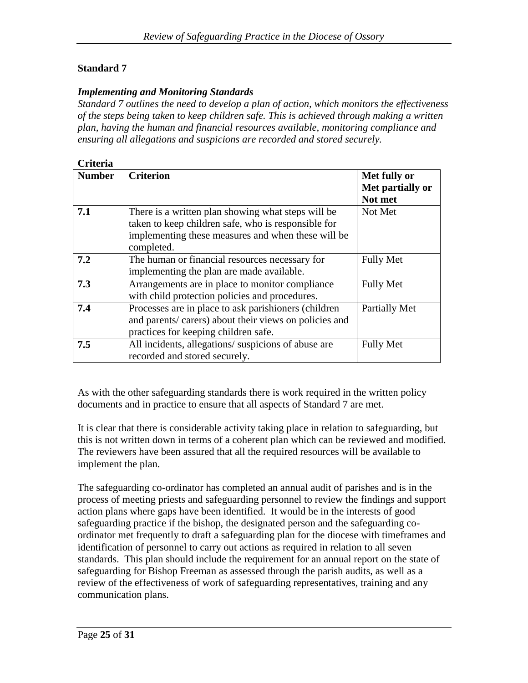# **Standard 7**

#### *Implementing and Monitoring Standards*

*Standard 7 outlines the need to develop a plan of action, which monitors the effectiveness of the steps being taken to keep children safe. This is achieved through making a written plan, having the human and financial resources available, monitoring compliance and ensuring all allegations and suspicions are recorded and stored securely.*

| Criteria      |                                                                                                                                                                               |                                             |
|---------------|-------------------------------------------------------------------------------------------------------------------------------------------------------------------------------|---------------------------------------------|
| <b>Number</b> | <b>Criterion</b>                                                                                                                                                              | Met fully or<br>Met partially or<br>Not met |
| 7.1           | There is a written plan showing what steps will be<br>taken to keep children safe, who is responsible for<br>implementing these measures and when these will be<br>completed. | Not Met                                     |
| 7.2           | The human or financial resources necessary for<br>implementing the plan are made available.                                                                                   | <b>Fully Met</b>                            |
| 7.3           | Arrangements are in place to monitor compliance<br>with child protection policies and procedures.                                                                             | <b>Fully Met</b>                            |
| 7.4           | Processes are in place to ask parishioners (children<br>and parents/ carers) about their views on policies and<br>practices for keeping children safe.                        | Partially Met                               |
| 7.5           | All incidents, allegations/suspicions of abuse are<br>recorded and stored securely.                                                                                           | <b>Fully Met</b>                            |

As with the other safeguarding standards there is work required in the written policy documents and in practice to ensure that all aspects of Standard 7 are met.

It is clear that there is considerable activity taking place in relation to safeguarding, but this is not written down in terms of a coherent plan which can be reviewed and modified. The reviewers have been assured that all the required resources will be available to implement the plan.

The safeguarding co-ordinator has completed an annual audit of parishes and is in the process of meeting priests and safeguarding personnel to review the findings and support action plans where gaps have been identified. It would be in the interests of good safeguarding practice if the bishop, the designated person and the safeguarding coordinator met frequently to draft a safeguarding plan for the diocese with timeframes and identification of personnel to carry out actions as required in relation to all seven standards. This plan should include the requirement for an annual report on the state of safeguarding for Bishop Freeman as assessed through the parish audits, as well as a review of the effectiveness of work of safeguarding representatives, training and any communication plans.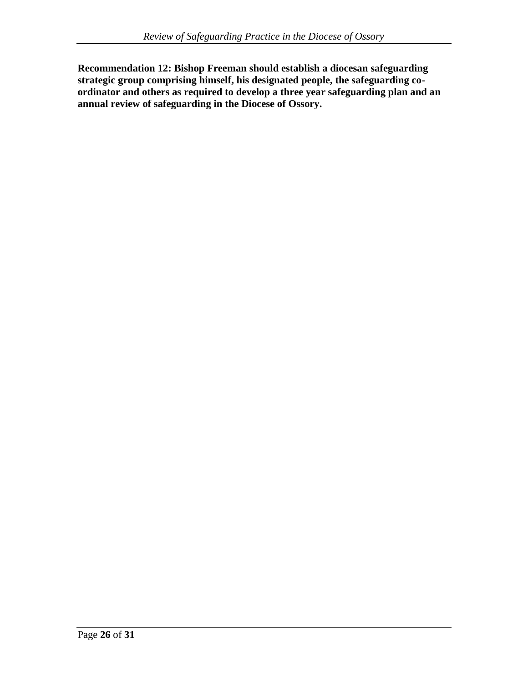**Recommendation 12: Bishop Freeman should establish a diocesan safeguarding strategic group comprising himself, his designated people, the safeguarding coordinator and others as required to develop a three year safeguarding plan and an annual review of safeguarding in the Diocese of Ossory.**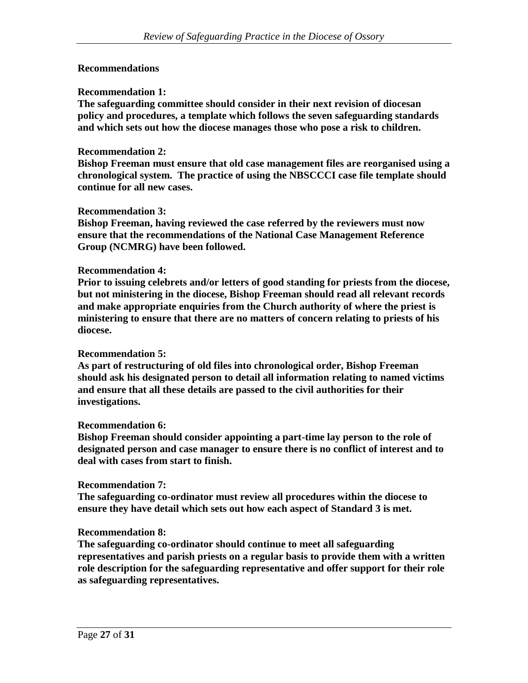#### **Recommendations**

#### **Recommendation 1:**

**The safeguarding committee should consider in their next revision of diocesan policy and procedures, a template which follows the seven safeguarding standards and which sets out how the diocese manages those who pose a risk to children.**

#### **Recommendation 2:**

**Bishop Freeman must ensure that old case management files are reorganised using a chronological system. The practice of using the NBSCCCI case file template should continue for all new cases.**

#### **Recommendation 3:**

**Bishop Freeman, having reviewed the case referred by the reviewers must now ensure that the recommendations of the National Case Management Reference Group (NCMRG) have been followed.** 

#### **Recommendation 4:**

**Prior to issuing celebrets and/or letters of good standing for priests from the diocese, but not ministering in the diocese, Bishop Freeman should read all relevant records and make appropriate enquiries from the Church authority of where the priest is ministering to ensure that there are no matters of concern relating to priests of his diocese.** 

#### **Recommendation 5:**

**As part of restructuring of old files into chronological order, Bishop Freeman should ask his designated person to detail all information relating to named victims and ensure that all these details are passed to the civil authorities for their investigations.**

#### **Recommendation 6:**

**Bishop Freeman should consider appointing a part-time lay person to the role of designated person and case manager to ensure there is no conflict of interest and to deal with cases from start to finish.**

#### **Recommendation 7:**

**The safeguarding co-ordinator must review all procedures within the diocese to ensure they have detail which sets out how each aspect of Standard 3 is met.**

#### **Recommendation 8:**

**The safeguarding co-ordinator should continue to meet all safeguarding representatives and parish priests on a regular basis to provide them with a written role description for the safeguarding representative and offer support for their role as safeguarding representatives.**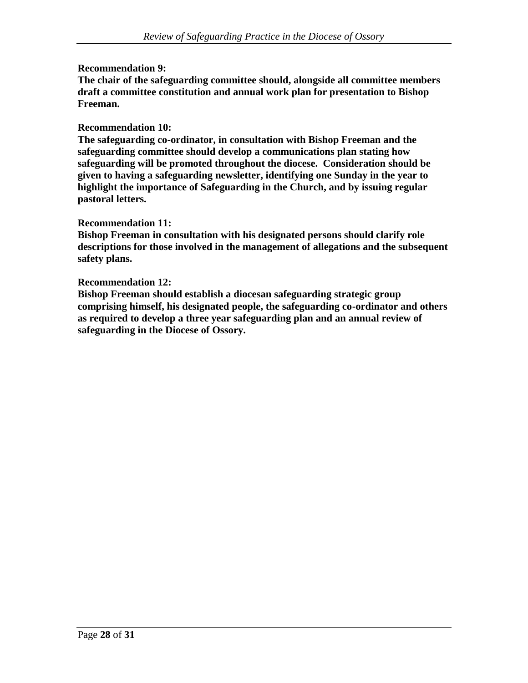#### **Recommendation 9:**

**The chair of the safeguarding committee should, alongside all committee members draft a committee constitution and annual work plan for presentation to Bishop Freeman.**

#### **Recommendation 10:**

**The safeguarding co-ordinator, in consultation with Bishop Freeman and the safeguarding committee should develop a communications plan stating how safeguarding will be promoted throughout the diocese. Consideration should be given to having a safeguarding newsletter, identifying one Sunday in the year to highlight the importance of Safeguarding in the Church, and by issuing regular pastoral letters.**

#### **Recommendation 11:**

**Bishop Freeman in consultation with his designated persons should clarify role descriptions for those involved in the management of allegations and the subsequent safety plans.**

#### **Recommendation 12:**

**Bishop Freeman should establish a diocesan safeguarding strategic group comprising himself, his designated people, the safeguarding co-ordinator and others as required to develop a three year safeguarding plan and an annual review of safeguarding in the Diocese of Ossory.**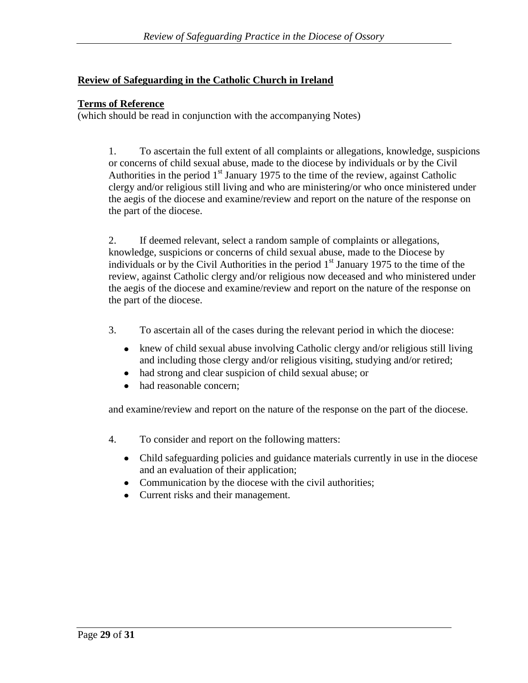### **Review of Safeguarding in the Catholic Church in Ireland**

#### **Terms of Reference**

(which should be read in conjunction with the accompanying Notes)

1. To ascertain the full extent of all complaints or allegations, knowledge, suspicions or concerns of child sexual abuse, made to the diocese by individuals or by the Civil Authorities in the period  $1<sup>st</sup>$  January 1975 to the time of the review, against Catholic clergy and/or religious still living and who are ministering/or who once ministered under the aegis of the diocese and examine/review and report on the nature of the response on the part of the diocese.

2. If deemed relevant, select a random sample of complaints or allegations, knowledge, suspicions or concerns of child sexual abuse, made to the Diocese by individuals or by the Civil Authorities in the period  $1<sup>st</sup>$  January 1975 to the time of the review, against Catholic clergy and/or religious now deceased and who ministered under the aegis of the diocese and examine/review and report on the nature of the response on the part of the diocese.

- 3. To ascertain all of the cases during the relevant period in which the diocese:
	- knew of child sexual abuse involving Catholic clergy and/or religious still living  $\bullet$ and including those clergy and/or religious visiting, studying and/or retired;
	- had strong and clear suspicion of child sexual abuse; or
	- had reasonable concern;  $\bullet$

and examine/review and report on the nature of the response on the part of the diocese.

- 4. To consider and report on the following matters:
	- Child safeguarding policies and guidance materials currently in use in the diocese and an evaluation of their application;
	- Communication by the diocese with the civil authorities;
	- Current risks and their management.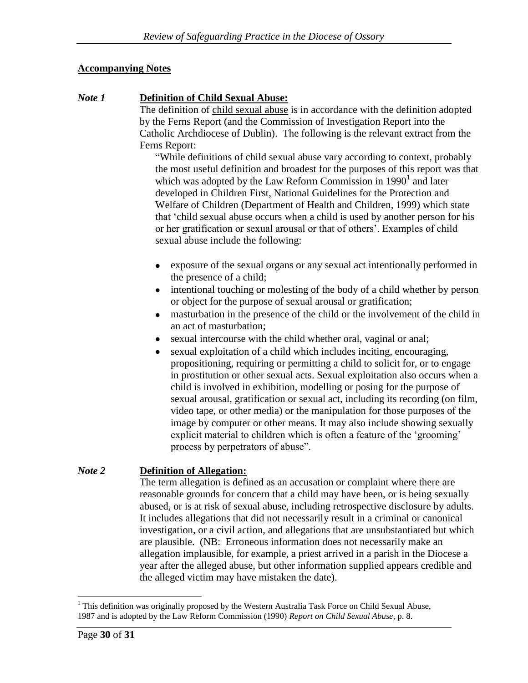# **Accompanying Notes**

# *Note 1* **Definition of Child Sexual Abuse:**

The definition of child sexual abuse is in accordance with the definition adopted by the Ferns Report (and the Commission of Investigation Report into the Catholic Archdiocese of Dublin). The following is the relevant extract from the Ferns Report:

"While definitions of child sexual abuse vary according to context, probably the most useful definition and broadest for the purposes of this report was that which was adopted by the Law Reform Commission in  $1990<sup>1</sup>$  and later developed in Children First, National Guidelines for the Protection and Welfare of Children (Department of Health and Children, 1999) which state that 'child sexual abuse occurs when a child is used by another person for his or her gratification or sexual arousal or that of others'. Examples of child sexual abuse include the following:

- exposure of the sexual organs or any sexual act intentionally performed in the presence of a child;
- intentional touching or molesting of the body of a child whether by person or object for the purpose of sexual arousal or gratification;
- masturbation in the presence of the child or the involvement of the child in  $\bullet$ an act of masturbation;
- sexual intercourse with the child whether oral, vaginal or anal;
- sexual exploitation of a child which includes inciting, encouraging, propositioning, requiring or permitting a child to solicit for, or to engage in prostitution or other sexual acts. Sexual exploitation also occurs when a child is involved in exhibition, modelling or posing for the purpose of sexual arousal, gratification or sexual act, including its recording (on film, video tape, or other media) or the manipulation for those purposes of the image by computer or other means. It may also include showing sexually explicit material to children which is often a feature of the 'grooming' process by perpetrators of abuse".

#### *Note 2* **Definition of Allegation:**

The term allegation is defined as an accusation or complaint where there are reasonable grounds for concern that a child may have been, or is being sexually abused, or is at risk of sexual abuse, including retrospective disclosure by adults. It includes allegations that did not necessarily result in a criminal or canonical investigation, or a civil action, and allegations that are unsubstantiated but which are plausible. (NB: Erroneous information does not necessarily make an allegation implausible, for example, a priest arrived in a parish in the Diocese a year after the alleged abuse, but other information supplied appears credible and the alleged victim may have mistaken the date).

 $\overline{a}$ <sup>1</sup> This definition was originally proposed by the Western Australia Task Force on Child Sexual Abuse, 1987 and is adopted by the Law Reform Commission (1990) *Report on Child Sexual Abuse*, p. 8.